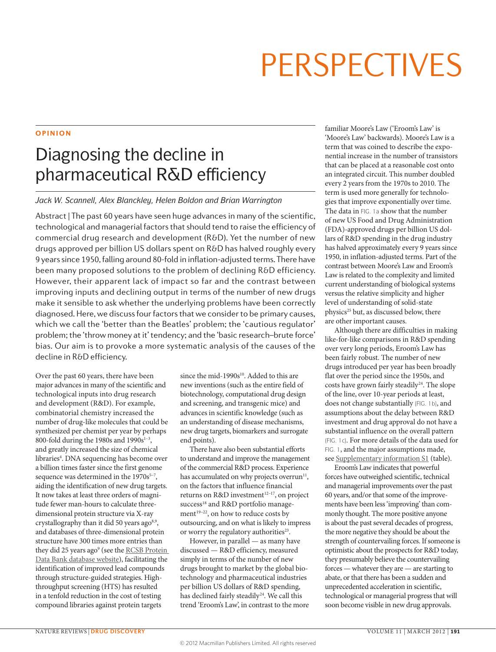#### OPINION

## Diagnosing the decline in pharmaceutical R&D efficiency

#### *Jack W. Scannell, Alex Blanckley, Helen Boldon and Brian Warrington*

Abstract | The past 60 years have seen huge advances in many of the scientific, technological and managerial factors that should tend to raise the efficiency of commercial drug research and development (R&D). Yet the number of new drugs approved per billion US dollars spent on R&D has halved roughly every 9 years since 1950, falling around 80‑fold in inflation-adjusted terms. There have been many proposed solutions to the problem of declining R&D efficiency. However, their apparent lack of impact so far and the contrast between improving inputs and declining output in terms of the number of new drugs make it sensible to ask whether the underlying problems have been correctly diagnosed. Here, we discuss four factors that we consider to be primary causes, which we call the 'better than the Beatles' problem; the 'cautious regulator' problem; the 'throw money at it' tendency; and the 'basic research–brute force' bias. Our aim is to provoke a more systematic analysis of the causes of the decline in R&D efficiency.

Over the past 60 years, there have been major advances in many of the scientific and technological inputs into drug research and development (R&D). For example, combinatorial chemistry increased the number of drug-like molecules that could be synthesized per chemist per year by perhaps 800-fold during the 1980s and  $1990s^{1-3}$ , and greatly increased the size of chemical libraries<sup>4</sup>. DNA sequencing has become over a billion times faster since the first genome sequence was determined in the 1970s<sup>5-7</sup>, aiding the identification of new drug targets. It now takes at least three orders of magnitude fewer man-hours to calculate threedimensional protein structure via X-ray crystallography than it did 50 years ago<sup>8,9</sup>, and databases of three-dimensional protein structure have 300 times more entries than they did 25 years ago<sup>9</sup> (see the **RCSB** Protein [Data Bank database website\)](http://www.rcsb.org/pdb/home/home.do), facilitating the identification of improved lead compounds through structure-guided strategies. Highthroughput screening (HTS) has resulted in a tenfold reduction in the cost of testing compound libraries against protein targets

since the mid-1990s<sup>10</sup>. Added to this are new inventions (such as the entire field of biotechnology, computational drug design and screening, and transgenic mice) and advances in scientific knowledge (such as an understanding of disease mechanisms, new drug targets, biomarkers and surrogate end points).

There have also been substantial efforts to understand and improve the management of the commercial R&D process. Experience has accumulated on why projects overrun<sup>11</sup>, on the factors that influence financial returns on R&D investment<sup>12-17</sup>, on project success<sup>18</sup> and R&D portfolio management<sup>19-22</sup>, on how to reduce costs by outsourcing, and on what is likely to impress or worry the regulatory authorities<sup>23</sup>.

However, in parallel — as many have discussed — R&D efficiency, measured simply in terms of the number of new drugs brought to market by the global biotechnology and pharmaceutical industries per billion US dollars of R&D spending, has declined fairly steadily<sup>24</sup>. We call this trend 'Eroom's Law', in contrast to the more

familiar Moore's Law ('Eroom's Law' is 'Moore's Law' backwards). Moore's Law is a term that was coined to describe the exponential increase in the number of transistors that can be placed at a reasonable cost onto an integrated circuit. This number doubled every 2 years from the 1970s to 2010. The term is used more generally for technologies that improve exponentially over time. The data in FIG. 1a show that the number of new US Food and Drug Administration (FDA)-approved drugs per billion US dollars of R&D spending in the drug industry has halved approximately every 9 years since 1950, in inflation-adjusted terms. Part of the contrast between Moore's Law and Eroom's Law is related to the complexity and limited current understanding of biological systems versus the relative simplicity and higher level of understanding of solid-state physics<sup>25</sup> but, as discussed below, there are other important causes.

Although there are difficulties in making like-for-like comparisons in R&D spending over very long periods, Eroom's Law has been fairly robust. The number of new drugs introduced per year has been broadly flat over the period since the 1950s, and costs have grown fairly steadily<sup>24</sup>. The slope of the line, over 10-year periods at least, does not change substantially (FIG. 1b), and assumptions about the delay between R&D investment and drug approval do not have a substantial influence on the overall pattern (FIG. 1c). For more details of the data used for FIG. 1, and the major assumptions made, see [Supplementary information S1](http://www.nature.com/nrd/journal/v11/n3/suppinfo/nrd3681.html) (table).

Eroom's Law indicates that powerful forces have outweighed scientific, technical and managerial improvements over the past 60 years, and/or that some of the improvements have been less 'improving' than commonly thought. The more positive anyone is about the past several decades of progress, the more negative they should be about the strength of countervailing forces. If someone is optimistic about the prospects for R&D today, they presumably believe the countervailing forces — whatever they are — are starting to abate, or that there has been a sudden and unprecedented acceleration in scientific, technological or managerial progress that will soon become visible in new drug approvals.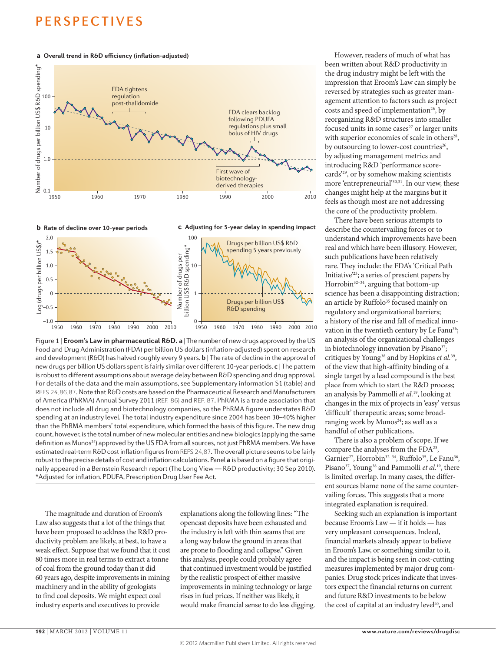





Food and Drug Administration (FDA) per billion US dollars (inflation-adjusted) spent on research Figure 1 | **Eroom's Law in pharmaceutical R&D. a** | The number of new drugs approved by the US and development (R&D) has halved roughly every 9 years. **b** | The rate of decline in the approval of new drugs per billion US dollars spent is fairly similar over different 10‑year periods. **c** | The pattern is robust to different assumptions about average delay between R&D spending and drug approval. For details of the data and the main assumptions, see Supplementary information S1 (table) and REFS 24,86,87. Note that R&D costs are based on the Pharmaceutical Research and Manufacturers of America (PhRMA) Annual Survey 2011 (REF. 86) and REF. 87. PhRMA is a trade association that does not include all drug and biotechnology companies, so the PhRMA figure understates R&D spending at an industry level. The total industry expenditure since 2004 has been 30–40% higher than the PhRMA members' total expenditure, which formed the basis of this figure. The new drug count, however, is the total number of new molecular entities and new biologics (applying the same definition as Munos<sup>24</sup>) approved by the US FDA from all sources, not just PhRMA members. We have estimated real-term R&D cost inflation figures from REFS 24,87. The overall picture seems to be fairly robust to the precise details of cost and inflation calculations. Panel **a** is based on a figure that origi‑ nally appeared in a Bernstein Research report (The Long View — R&D productivity; 30 Sep 2010). \*Adjusted for inflation. PDUFA, Prescription Drug User Fee Act.

The magnitude and duration of Eroom's Law also suggests that a lot of the things that have been proposed to address the R&D productivity problem are likely, at best, to have a weak effect. Suppose that we found that it cost 80 times more in real terms to extract a tonne of coal from the ground today than it did 60 years ago, despite improvements in mining machinery and in the ability of geologists to find coal deposits. We might expect coal industry experts and executives to provide

explanations along the following lines: "The opencast deposits have been exhausted and the industry is left with thin seams that are a long way below the ground in areas that are prone to flooding and collapse." Given this analysis, people could probably agree that continued investment would be justified by the realistic prospect of either massive improvements in mining technology or large rises in fuel prices. If neither was likely, it would make financial sense to do less digging.

However, readers of much of what has been written about R&D productivity in the drug industry might be left with the impression that Eroom's Law can simply be reversed by strategies such as greater management attention to factors such as project costs and speed of implementation<sup>26</sup>, by reorganizing R&D structures into smaller focused units in some cases<sup>27</sup> or larger units with superior economies of scale in others<sup>28</sup>, by outsourcing to lower-cost countries<sup>26</sup>, by adjusting management metrics and introducing R&D 'performance scorecards'29, or by somehow making scientists more 'entrepreneurial'30,31. In our view, these changes might help at the margins but it feels as though most are not addressing the core of the productivity problem.

There have been serious attempts to describe the countervailing forces or to understand which improvements have been real and which have been illusory. However, such publications have been relatively rare. They include: the FDA's 'Critical Path Initiative'23; a series of prescient papers by Horrobin<sup>32–34</sup>, arguing that bottom-up science has been a disappointing distraction; an article by Ruffolo<sup>35</sup> focused mainly on regulatory and organizational barriers; a history of the rise and fall of medical innovation in the twentieth century by Le Fanu<sup>36</sup>; an analysis of the organizational challenges in biotechnology innovation by Pisano<sup>37</sup>; critiques by Young<sup>38</sup> and by Hopkins et al.<sup>39</sup>, of the view that high-affinity binding of a single target by a lead compound is the best place from which to start the R&D process; an analysis by Pammolli *et al.*19, looking at changes in the mix of projects in 'easy' versus 'difficult' therapeutic areas; some broadranging work by Munos<sup>24</sup>; as well as a handful of other publications.

There is also a problem of scope. If we compare the analyses from the FDA<sup>23</sup>, Garnier<sup>27</sup>, Horrobin<sup>32-34</sup>, Ruffolo<sup>35</sup>, Le Fanu<sup>36</sup>, Pisano<sup>37</sup>, Young<sup>38</sup> and Pammolli *et al.*<sup>19</sup>, there is limited overlap. In many cases, the different sources blame none of the same countervailing forces. This suggests that a more integrated explanation is required.

Seeking such an explanation is important because Eroom's Law — if it holds — has very unpleasant consequences. Indeed, financial markets already appear to believe in Eroom's Law, or something similar to it, and the impact is being seen in cost-cutting measures implemented by major drug companies. Drug stock prices indicate that investors expect the financial returns on current and future R&D investments to be below the cost of capital at an industry level<sup>40</sup>, and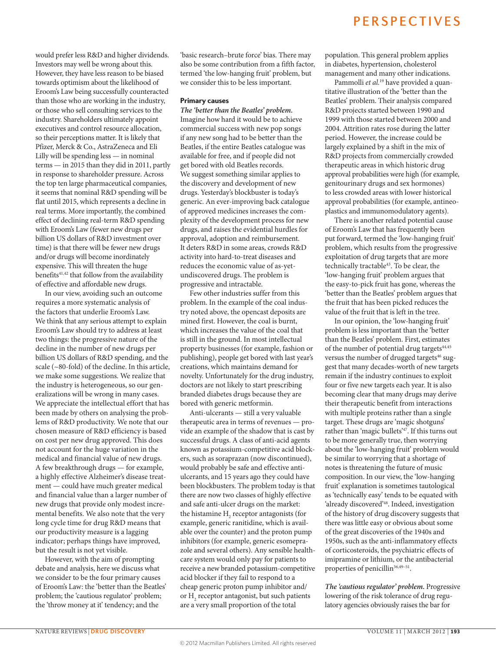would prefer less R&D and higher dividends. Investors may well be wrong about this. However, they have less reason to be biased towards optimism about the likelihood of Eroom's Law being successfully counteracted than those who are working in the industry, or those who sell consulting services to the industry. Shareholders ultimately appoint executives and control resource allocation, so their perceptions matter. It is likely that Pfizer, Merck & Co., AstraZeneca and Eli Lilly will be spending less — in nominal terms — in 2015 than they did in 2011, partly in response to shareholder pressure. Across the top ten large pharmaceutical companies, it seems that nominal R&D spending will be flat until 2015, which represents a decline in real terms. More importantly, the combined effect of declining real-term R&D spending with Eroom's Law (fewer new drugs per billion US dollars of R&D investment over time) is that there will be fewer new drugs and/or drugs will become inordinately expensive. This will threaten the huge benefits<sup>41,42</sup> that follow from the availability of effective and affordable new drugs.

In our view, avoiding such an outcome requires a more systematic analysis of the factors that underlie Eroom's Law. We think that any serious attempt to explain Eroom's Law should try to address at least two things: the progressive nature of the decline in the number of new drugs per billion US dollars of R&D spending, and the scale (~80-fold) of the decline. In this article, we make some suggestions. We realize that the industry is heterogeneous, so our generalizations will be wrong in many cases. We appreciate the intellectual effort that has been made by others on analysing the problems of R&D productivity. We note that our chosen measure of R&D efficiency is based on cost per new drug approved. This does not account for the huge variation in the medical and financial value of new drugs. A few breakthrough drugs — for example, a highly effective Alzheimer's disease treatment — could have much greater medical and financial value than a larger number of new drugs that provide only modest incremental benefits. We also note that the very long cycle time for drug R&D means that our productivity measure is a lagging indicator; perhaps things have improved, but the result is not yet visible.

However, with the aim of prompting debate and analysis, here we discuss what we consider to be the four primary causes of Eroom's Law: the 'better than the Beatles' problem; the 'cautious regulator' problem; the 'throw money at it' tendency; and the

'basic research–brute force' bias. There may also be some contribution from a fifth factor, termed 'the low-hanging fruit' problem, but we consider this to be less important.

#### Primary causes

*The 'better than the Beatles' problem.* Imagine how hard it would be to achieve commercial success with new pop songs if any new song had to be better than the Beatles, if the entire Beatles catalogue was available for free, and if people did not get bored with old Beatles records. We suggest something similar applies to the discovery and development of new drugs. Yesterday's blockbuster is today's generic. An ever-improving back catalogue of approved medicines increases the complexity of the development process for new drugs, and raises the evidential hurdles for approval, adoption and reimbursement. It deters R&D in some areas, crowds R&D activity into hard-to-treat diseases and reduces the economic value of as-yetundiscovered drugs. The problem is progressive and intractable.

Few other industries suffer from this problem. In the example of the coal industry noted above, the opencast deposits are mined first. However, the coal is burnt, which increases the value of the coal that is still in the ground. In most intellectual property businesses (for example, fashion or publishing), people get bored with last year's creations, which maintains demand for novelty. Unfortunately for the drug industry, doctors are not likely to start prescribing branded diabetes drugs because they are bored with generic metformin.

Anti-ulcerants — still a very valuable therapeutic area in terms of revenues — provide an example of the shadow that is cast by successful drugs. A class of anti-acid agents known as potassium-competitive acid blockers, such as soraprazan (now discontinued), would probably be safe and effective antiulcerants, and 15 years ago they could have been blockbusters. The problem today is that there are now two classes of highly effective and safe anti-ulcer drugs on the market: the histamine  $\rm{H}_{2}$  receptor antagonists (for example, generic ranitidine, which is available over the counter) and the proton pump inhibitors (for example, generic esomeprazole and several others). Any sensible healthcare system would only pay for patients to receive a new branded potassium-competitive acid blocker if they fail to respond to a cheap generic proton pump inhibitor and/ or  $H_2$  receptor antagonist, but such patients are a very small proportion of the total

population. This general problem applies in diabetes, hypertension, cholesterol management and many other indications.

Pammolli *et al.*19 have provided a quantitative illustration of the 'better than the Beatles' problem. Their analysis compared R&D projects started between 1990 and 1999 with those started between 2000 and 2004. Attrition rates rose during the latter period. However, the increase could be largely explained by a shift in the mix of R&D projects from commercially crowded therapeutic areas in which historic drug approval probabilities were high (for example, genitourinary drugs and sex hormones) to less crowded areas with lower historical approval probabilities (for example, antineoplastics and immunomodulatory agents).

There is another related potential cause of Eroom's Law that has frequently been put forward, termed the 'low-hanging fruit' problem, which results from the progressive exploitation of drug targets that are more technically tractable43. To be clear, the 'low-hanging fruit' problem argues that the easy-to-pick fruit has gone, whereas the 'better than the Beatles' problem argues that the fruit that has been picked reduces the value of the fruit that is left in the tree.

In our opinion, the 'low-hanging fruit' problem is less important than the 'better than the Beatles' problem. First, estimates of the number of potential drug targets<sup>44,45</sup> versus the number of drugged targets<sup>46</sup> suggest that many decades-worth of new targets remain if the industry continues to exploit four or five new targets each year. It is also becoming clear that many drugs may derive their therapeutic benefit from interactions with multiple proteins rather than a single target. These drugs are 'magic shotguns' rather than 'magic bullets'47. If this turns out to be more generally true, then worrying about the 'low-hanging fruit' problem would be similar to worrying that a shortage of notes is threatening the future of music composition. In our view, the 'low-hanging fruit' explanation is sometimes tautological as 'technically easy' tends to be equated with 'already discovered'48. Indeed, investigation of the history of drug discovery suggests that there was little easy or obvious about some of the great discoveries of the 1940s and 1950s, such as the anti-inflammatory effects of corticosteroids, the psychiatric effects of imipramine or lithium, or the antibacterial properties of penicillin<sup>36,49-51</sup>.

*The 'cautious regulator' problem.* Progressive lowering of the risk tolerance of drug regulatory agencies obviously raises the bar for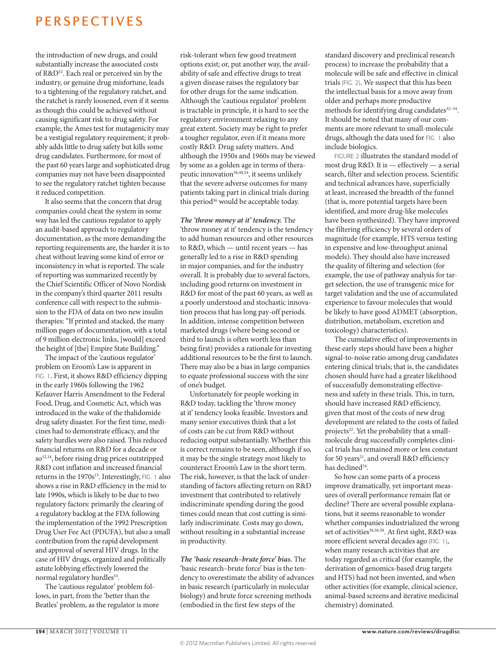the introduction of new drugs, and could substantially increase the associated costs of R&D<sup>52</sup>. Each real or perceived sin by the industry, or genuine drug misfortune, leads to a tightening of the regulatory ratchet, and the ratchet is rarely loosened, even if it seems as though this could be achieved without causing significant risk to drug safety. For example, the Ames test for mutagenicity may be a vestigial regulatory requirement; it probably adds little to drug safety but kills some drug candidates. Furthermore, for most of the past 60 years large and sophisticated drug companies may not have been disappointed to see the regulatory ratchet tighten because it reduced competition.

It also seems that the concern that drug companies could cheat the system in some way has led the cautious regulator to apply an audit-based approach to regulatory documentation, as the more demanding the reporting requirements are, the harder it is to cheat without leaving some kind of error or inconsistency in what is reported. The scale of reporting was summarized recently by the Chief Scientific Officer of Novo Nordisk in the company's third quarter 2011 results conference call with respect to the submission to the FDA of data on two new insulin therapies: "If printed and stacked, the many million pages of documentation, with a total of 9 million electronic links, [would] exceed the height of [the] Empire State Building."

The impact of the 'cautious regulator' problem on Eroom's Law is apparent in FIG. 1. First, it shows R&D efficiency dipping in the early 1960s following the 1962 Kefauver Harris Amendment to the Federal Food, Drug, and Cosmetic Act, which was introduced in the wake of the thalidomide drug safety disaster. For the first time, medicines had to demonstrate efficacy, and the safety hurdles were also raised. This reduced financial returns on R&D for a decade or so<sup>12,14</sup>, before rising drug prices outstripped R&D cost inflation and increased financial returns in the 1970s<sup>15</sup>. Interestingly, FIG. 1 also shows a rise in R&D efficiency in the mid to late 1990s, which is likely to be due to two regulatory factors: primarily the clearing of a regulatory backlog at the FDA following the implementation of the 1992 Prescription Drug User Fee Act (PDUFA), but also a small contribution from the rapid development and approval of several HIV drugs. In the case of HIV drugs, organized and politically astute lobbying effectively lowered the normal regulatory hurdles<sup>53</sup>.

The 'cautious regulator' problem follows, in part, from the 'better than the Beatles' problem, as the regulator is more risk-tolerant when few good treatment options exist; or, put another way, the availability of safe and effective drugs to treat a given disease raises the regulatory bar for other drugs for the same indication. Although the 'cautious regulator' problem is tractable in principle, it is hard to see the regulatory environment relaxing to any great extent. Society may be right to prefer a tougher regulator, even if it means more costly R&D. Drug safety matters. And although the 1950s and 1960s may be viewed by some as a golden age in terms of therapeutic innovation<sup>36,48,54</sup>, it seems unlikely that the severe adverse outcomes for many patients taking part in clinical trials during this period<sup>36</sup> would be acceptable today.

*The 'throw money at it' tendency.* The 'throw money at it' tendency is the tendency to add human resources and other resources to R&D, which — until recent years — has generally led to a rise in R&D spending in major companies, and for the industry overall. It is probably due to several factors, including good returns on investment in R&D for most of the past 60 years, as well as a poorly understood and stochastic innovation process that has long pay-off periods. In addition, intense competition between marketed drugs (where being second or third to launch is often worth less than being first) provides a rationale for investing additional resources to be the first to launch. There may also be a bias in large companies to equate professional success with the size of one's budget.

Unfortunately for people working in R&D today, tackling the 'throw money at it' tendency looks feasible. Investors and many senior executives think that a lot of costs can be cut from R&D without reducing output substantially. Whether this is correct remains to be seen, although if so, it may be the single strategy most likely to counteract Eroom's Law in the short term. The risk, however, is that the lack of understanding of factors affecting return on R&D investment that contributed to relatively indiscriminate spending during the good times could mean that cost cutting is similarly indiscriminate. Costs may go down, without resulting in a substantial increase in productivity.

*The 'basic research–brute force' bias.* The 'basic research–brute force' bias is the tendency to overestimate the ability of advances in basic research (particularly in molecular biology) and brute force screening methods (embodied in the first few steps of the

standard discovery and preclinical research process) to increase the probability that a molecule will be safe and effective in clinical trials (FIG. 2). We suspect that this has been the intellectual basis for a move away from older and perhaps more productive methods for identifying drug candidates<sup>32-34</sup>. It should be noted that many of our comments are more relevant to small-molecule drugs, although the data used for FIG. 1 also include biologics.

FIGURE 2 illustrates the standard model of most drug R&D. It is — effectively — a serial search, filter and selection process. Scientific and technical advances have, superficially at least, increased the breadth of the funnel (that is, more potential targets have been identified, and more drug-like molecules have been synthesized). They have improved the filtering efficiency by several orders of magnitude (for example, HTS versus testing in expensive and low-throughput animal models). They should also have increased the quality of filtering and selection (for example, the use of pathway analysis for target selection, the use of transgenic mice for target validation and the use of accumulated experience to favour molecules that would be likely to have good ADMET (absorption, distribution, metabolism, excretion and toxicology) characteristics).

The cumulative effect of improvements in these early steps should have been a higher signal-to-noise ratio among drug candidates entering clinical trials; that is, the candidates chosen should have had a greater likelihood of successfully demonstrating effectiveness and safety in these trials. This, in turn, should have increased R&D efficiency, given that most of the costs of new drug development are related to the costs of failed projects<sup>22</sup>. Yet the probability that a smallmolecule drug successfully completes clinical trials has remained more or less constant for 50 years<sup>21</sup>, and overall R&D efficiency has declined<sup>24</sup>.

So how can some parts of a process improve dramatically, yet important measures of overall performance remain flat or decline? There are several possible explanations, but it seems reasonable to wonder whether companies industrialized the wrong set of activities<sup>34,36,38</sup>. At first sight, R&D was more efficient several decades ago (FIG. 1), when many research activities that are today regarded as critical (for example, the derivation of genomics-based drug targets and HTS) had not been invented, and when other activities (for example, clinical science, animal-based screens and iterative medicinal chemistry) dominated.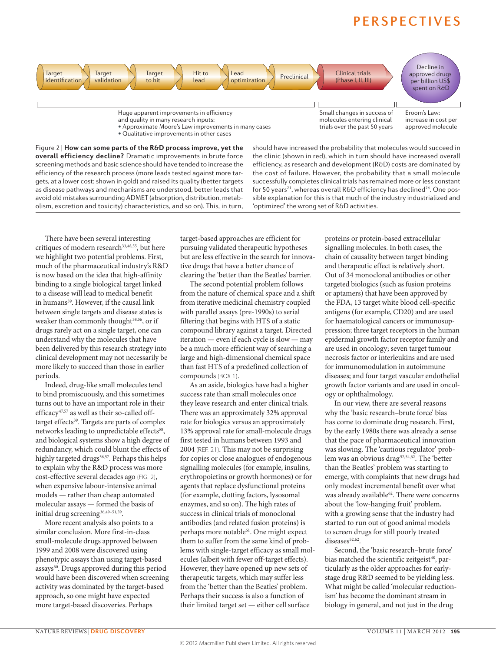

There have been several interesting critiques of modern research<sup>33,48,55</sup>, but here we highlight two potential problems. First, much of the pharmaceutical industry's R&D is now based on the idea that high-affinity binding to a single biological target linked to a disease will lead to medical benefit in humans<sup>39</sup>. However, if the causal link between single targets and disease states is weaker than commonly thought<sup>38,56</sup>, or if drugs rarely act on a single target, one can understand why the molecules that have been delivered by this research strategy into clinical development may not necessarily be more likely to succeed than those in earlier periods.

avoid old mistakes surrounding ADMET (absorption, distribution, metabolism, excretion and toxicity) characteristics, and so on). This, in turn,

Indeed, drug-like small molecules tend to bind promiscuously, and this sometimes turns out to have an important role in their efficacy47,57 as well as their so-called offtarget effects<sup>39</sup>. Targets are parts of complex networks leading to unpredictable effects<sup>58</sup>, and biological systems show a high degree of redundancy, which could blunt the effects of highly targeted drugs<sup>56,57</sup>. Perhaps this helps to explain why the R&D process was more cost-effective several decades ago (FIG. 2), when expensive labour-intensive animal models — rather than cheap automated molecular assays — formed the basis of initial drug screening<sup>36,49-51,59</sup>.

More recent analysis also points to a similar conclusion. More first-in-class small-molecule drugs approved between 1999 and 2008 were discovered using phenotypic assays than using target-based assays<sup>60</sup>. Drugs approved during this period would have been discovered when screening activity was dominated by the target-based approach, so one might have expected more target-based discoveries. Perhaps

target-based approaches are efficient for pursuing validated therapeutic hypotheses but are less effective in the search for innovative drugs that have a better chance of clearing the 'better than the Beatles' barrier.

The second potential problem follows from the nature of chemical space and a shift from iterative medicinal chemistry coupled with parallel assays (pre-1990s) to serial filtering that begins with HTS of a static compound library against a target. Directed iteration — even if each cycle is slow — may be a much more efficient way of searching a large and high-dimensional chemical space than fast HTS of a predefined collection of compounds (BOX 1).

As an aside, biologics have had a higher success rate than small molecules once they leave research and enter clinical trials. There was an approximately 32% approval rate for biologics versus an approximately 13% approval rate for small-molecule drugs first tested in humans between 1993 and 2004 (REF. 21). This may not be surprising for copies or close analogues of endogenous signalling molecules (for example, insulins, erythropoietins or growth hormones) or for agents that replace dysfunctional proteins (for example, clotting factors, lysosomal enzymes, and so on). The high rates of success in clinical trials of monoclonal antibodies (and related fusion proteins) is perhaps more notable<sup>61</sup>. One might expect them to suffer from the same kind of problems with single-target efficacy as small molecules (albeit with fewer off-target effects). However, they have opened up new sets of therapeutic targets, which may suffer less from the 'better than the Beatles' problem. Perhaps their success is also a function of their limited target set — either cell surface

proteins or protein-based extracellular signalling molecules. In both cases, the chain of causality between target binding and therapeutic effect is relatively short. Out of 34 monoclonal antibodies or other targeted biologics (such as fusion proteins or aptamers) that have been approved by the FDA, 13 target white blood cell-specific antigens (for example, CD20) and are used for haematological cancers or immunosuppression; three target receptors in the human epidermal growth factor receptor family and are used in oncology; seven target tumour necrosis factor or interleukins and are used for immunomodulation in autoimmune diseases; and four target vascular endothelial growth factor variants and are used in oncology or ophthalmology.

sible explanation for this is that much of the industry industrialized and

'optimized' the wrong set of R&D activities.

In our view, there are several reasons why the 'basic research–brute force' bias has come to dominate drug research. First, by the early 1980s there was already a sense that the pace of pharmaceutical innovation was slowing. The 'cautious regulator' problem was an obvious drag<sup>52,54,62</sup>. The 'better than the Beatles' problem was starting to emerge, with complaints that new drugs had only modest incremental benefit over what was already available<sup>62</sup>. There were concerns about the 'low-hanging fruit' problem, with a growing sense that the industry had started to run out of good animal models to screen drugs for still poorly treated  $diseases<sup>52,62</sup>$ .

Second, the 'basic research–brute force' bias matched the scientific zeitgeist<sup>48</sup>, particularly as the older approaches for earlystage drug R&D seemed to be yielding less. What might be called 'molecular reductionism' has become the dominant stream in biology in general, and not just in the drug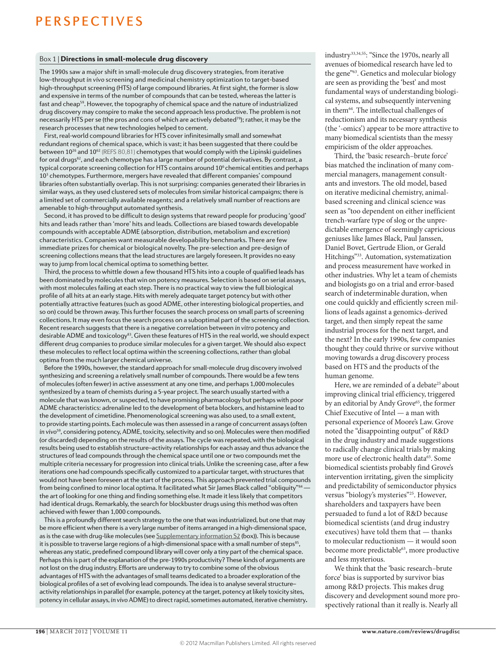#### Box 1 | Directions in small-molecule drug discovery

The 1990s saw a major shift in small-molecule drug discovery strategies, from iterative low-throughput *in vivo* screening and medicinal chemistry optimization to target-based high-throughput screening (HTS) of large compound libraries. At first sight, the former is slow and expensive in terms of the number of compounds that can be tested, whereas the latter is fast and cheap<sup>59</sup>. However, the topography of chemical space and the nature of industrialized drug discovery may conspire to make the second approach less productive. The problem is not necessarily HTS per se (the pros and cons of which are actively debated<sup>79</sup>); rather, it may be the research processes that new technologies helped to cement.

First, real-world compound libraries for HTS cover infinitesimally small and somewhat redundant regions of chemical space, which is vast; it has been suggested that there could be between  $10^{26}$  and  $10^{62}$  (REFS 80,81) chemotypes that would comply with the Lipinski quidelines for oral drugs $^{82}$ , and each chemotype has a large number of potential derivatives. By contrast, a typical corporate screening collection for HTS contains around 10<sup>6</sup> chemical entities and perhaps 103 chemotypes. Furthermore, mergers have revealed that different companies' compound libraries often substantially overlap. This is not surprising: companies generated their libraries in similar ways, as they used clustered sets of molecules from similar historical campaigns; there is a limited set of commercially available reagents; and a relatively small number of reactions are amenable to high-throughput automated synthesis.

Second, it has proved to be difficult to design systems that reward people for producing 'good' hits and leads rather than 'more' hits and leads. Collections are biased towards developable compounds with acceptable ADME (absorption, distribution, metabolism and excretion) characteristics. Companies want measurable developability benchmarks. There are few immediate prizes for chemical or biological novelty. The pre-selection and pre-design of screening collections means that the lead structures are largely foreseen. It provides no easy way to jump from local chemical optima to something better.

Third, the process to whittle down a few thousand HTS hits into a couple of qualified leads has been dominated by molecules that win on potency measures. Selection is based on serial assays, with most molecules failing at each step. There is no practical way to view the full biological profile of all hits at an early stage. Hits with merely adequate target potency but with other potentially attractive features (such as good ADME, other interesting biological properties, and so on) could be thrown away. This further focuses the search process on small parts of screening collections. It may even focus the search process on a suboptimal part of the screening collection. Recent research suggests that there is a negative correlation between *in vitro* potency and desirable ADME and toxicology<sup>83</sup>. Given these features of HTS in the real world, we should expect different drug companies to produce similar molecules for a given target. We should also expect these molecules to reflect local optima within the screening collections, rather than global optima from the much larger chemical universe.

Before the 1990s, however, the standard approach for small-molecule drug discovery involved synthesizing and screening a relatively small number of compounds. There would be a few tens of molecules (often fewer) in active assessment at any one time, and perhaps 1,000molecules synthesized by a team of chemists during a 5-year project. The search usually started with a molecule that was known, or suspected, to have promising pharmacology but perhaps with poor ADME characteristics: adrenaline led to the development of beta blockers, and histamine lead to the development of cimetidine. Phenomenological screening was also used, to a small extent, to provide starting points. Each molecule was then assessed in a range of concurrent assays (often *in vivo*59, considering potency, ADME, toxicity, selectivity and so on). Molecules were then modified (or discarded) depending on the results of the assays. The cycle was repeated, with the biological results being used to establish structure–activity relationships for each assay and thus advance the structures of lead compounds through the chemical space until one or two compounds met the multiple criteria necessary for progression into clinical trials. Unlike the screening case, after a few iterations one had compounds specifically customized to a particular target, with structures that would not have been foreseen at the start of the process. This approach prevented trial compounds from being confined to minor local optima. It facilitated what Sir James Black called "obliquity"<sup>84</sup> the art of looking for one thing and finding something else. It made it less likely that competitors had identical drugs. Remarkably, the search for blockbuster drugs using this method was often achieved with fewer than 1,000 compounds.

This is a profoundly different search strategy to the one that was industrialized, but one that may be more efficient when there is a very large number of items arranged in a high-dimensional space, as is the case with drug-like molecules (see [Supplementary information S2](http://www.nature.com/nrd/journal/v11/n3/suppinfo/nrd3681.html) (box)). This is because it is possible to traverse large regions of a high-dimensional space with a small number of steps<sup>85</sup>, whereas any static, predefined compound library will cover only a tiny part of the chemical space. Perhaps this is part of the explanation of the pre-1990s productivity? These kinds of arguments are not lost on the drug industry. Efforts are underway to try to combine some of the obvious advantages of HTS with the advantages of small teams dedicated to a broader exploration of the biological profiles of a set of evolving lead compounds. The idea is to analyse several structure– activity relationships in parallel (for example, potency at the target, potency at likely toxicity sites, potency in cellular assays, *in vivo* ADME) to direct rapid, sometimes automated, iterative chemistry**.**

industry33,34,55: "Since the 1970s, nearly all avenues of biomedical research have led to the gene"63. Genetics and molecular biology are seen as providing the 'best' and most fundamental ways of understanding biological systems, and subsequently intervening in them64. The intellectual challenges of reductionism and its necessary synthesis (the '-omics') appear to be more attractive to many biomedical scientists than the messy empiricism of the older approaches.

Third, the 'basic research–brute force' bias matched the inclination of many commercial managers, management consultants and investors. The old model, based on iterative medicinal chemistry, animalbased screening and clinical science was seen as "too dependent on either inefficient trench-warfare type of slog or the unpredictable emergence of seemingly capricious geniuses like James Black, Paul Janssen, Daniel Bovet, Gertrude Elion, or Gerald Hitchings"33. Automation, systematization and process measurement have worked in other industries. Why let a team of chemists and biologists go on a trial and error-based search of indeterminable duration, when one could quickly and efficiently screen millions of leads against a genomics-derived target, and then simply repeat the same industrial process for the next target, and the next? In the early 1990s, few companies thought they could thrive or survive without moving towards a drug discovery process based on HTS and the products of the human genome.

Here, we are reminded of a debate<sup>25</sup> about improving clinical trial efficiency, triggered by an editorial by Andy Grove<sup>65</sup>, the former Chief Executive of Intel — a man with personal experience of Moore's Law. Grove noted the "disappointing output" of R&D in the drug industry and made suggestions to radically change clinical trials by making more use of electronic health data<sup>65</sup>. Some biomedical scientists probably find Grove's intervention irritating, given the simplicity and predictability of semiconductor physics versus "biology's mysteries"25. However, shareholders and taxpayers have been persuaded to fund a lot of R&D because biomedical scientists (and drug industry executives) have told them that — thanks to molecular reductionism — it would soon become more predictable<sup>63</sup>, more productive and less mysterious.

We think that the 'basic research–brute force' bias is supported by survivor bias among R&D projects. This makes drug discovery and development sound more prospectively rational than it really is. Nearly all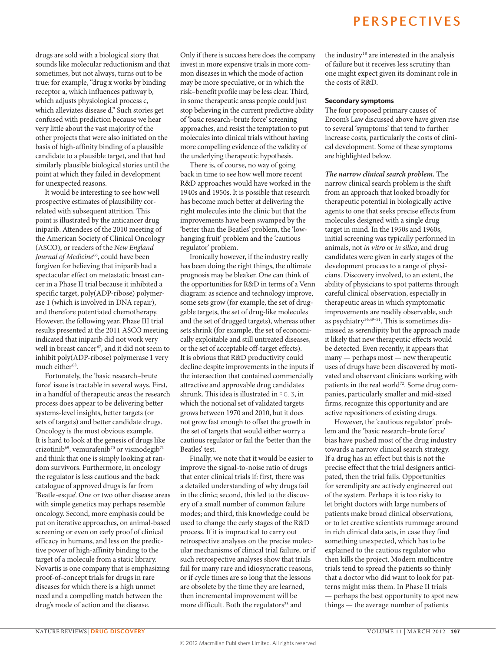drugs are sold with a biological story that sounds like molecular reductionism and that sometimes, but not always, turns out to be true: for example, "drug x works by binding receptor a, which influences pathway b, which adjusts physiological process c, which alleviates disease d." Such stories get confused with prediction because we hear very little about the vast majority of the other projects that were also initiated on the basis of high-affinity binding of a plausible candidate to a plausible target, and that had similarly plausible biological stories until the point at which they failed in development for unexpected reasons.

It would be interesting to see how well prospective estimates of plausibility correlated with subsequent attrition. This point is illustrated by the anticancer drug iniparib. Attendees of the 2010 meeting of the American Society of Clinical Oncology (ASCO), or readers of the *New England*  Journal of Medicine<sup>66</sup>, could have been forgiven for believing that iniparib had a spectacular effect on metastatic breast cancer in a Phase II trial because it inhibited a specific target, poly(ADP-ribose) polymerase 1 (which is involved in DNA repair), and therefore potentiated chemotherapy. However, the following year, Phase III trial results presented at the 2011 ASCO meeting indicated that iniparib did not work very well in breast cancer<sup>67</sup>, and it did not seem to inhibit poly(ADP-ribose) polymerase 1 very much either<sup>68</sup>.

Fortunately, the 'basic research–brute force' issue is tractable in several ways. First, in a handful of therapeutic areas the research process does appear to be delivering better systems-level insights, better targets (or sets of targets) and better candidate drugs. Oncology is the most obvious example. It is hard to look at the genesis of drugs like crizotinib<sup>69</sup>, vemurafenib<sup>70</sup> or vismodegib<sup>71</sup> and think that one is simply looking at random survivors. Furthermore, in oncology the regulator is less cautious and the back catalogue of approved drugs is far from 'Beatle-esque'. One or two other disease areas with simple genetics may perhaps resemble oncology. Second, more emphasis could be put on iterative approaches, on animal-based screening or even on early proof of clinical efficacy in humans, and less on the predictive power of high-affinity binding to the target of a molecule from a static library. Novartis is one company that is emphasizing proof-of-concept trials for drugs in rare diseases for which there is a high unmet need and a compelling match between the drug's mode of action and the disease.

Only if there is success here does the company invest in more expensive trials in more common diseases in which the mode of action may be more speculative, or in which the risk–benefit profile may be less clear. Third, in some therapeutic areas people could just stop believing in the current predictive ability of 'basic research–brute force' screening approaches, and resist the temptation to put molecules into clinical trials without having more compelling evidence of the validity of the underlying therapeutic hypothesis.

There is, of course, no way of going back in time to see how well more recent R&D approaches would have worked in the 1940s and 1950s. It is possible that research has become much better at delivering the right molecules into the clinic but that the improvements have been swamped by the 'better than the Beatles' problem, the 'lowhanging fruit' problem and the 'cautious regulator' problem.

Ironically however, if the industry really has been doing the right things, the ultimate prognosis may be bleaker. One can think of the opportunities for R&D in terms of a Venn diagram: as science and technology improve, some sets grow (for example, the set of druggable targets, the set of drug-like molecules and the set of drugged targets), whereas other sets shrink (for example, the set of economically exploitable and still untreated diseases, or the set of acceptable off-target effects). It is obvious that R&D productivity could decline despite improvements in the inputs if the intersection that contained commercially attractive and approvable drug candidates shrunk. This idea is illustrated in FIG. 3, in which the notional set of validated targets grows between 1970 and 2010, but it does not grow fast enough to offset the growth in the set of targets that would either worry a cautious regulator or fail the 'better than the Beatles' test.

Finally, we note that it would be easier to improve the signal-to-noise ratio of drugs that enter clinical trials if: first, there was a detailed understanding of why drugs fail in the clinic; second, this led to the discovery of a small number of common failure modes; and third, this knowledge could be used to change the early stages of the R&D process. If it is impractical to carry out retrospective analyses on the precise molecular mechanisms of clinical trial failure, or if such retrospective analyses show that trials fail for many rare and idiosyncratic reasons, or if cycle times are so long that the lessons are obsolete by the time they are learned, then incremental improvement will be more difficult. Both the regulators<sup>23</sup> and

the industry<sup>18</sup> are interested in the analysis of failure but it receives less scrutiny than one might expect given its dominant role in the costs of R&D.

#### Secondary symptoms

The four proposed primary causes of Eroom's Law discussed above have given rise to several 'symptoms' that tend to further increase costs, particularly the costs of clinical development. Some of these symptoms are highlighted below.

*The narrow clinical search problem.* The narrow clinical search problem is the shift from an approach that looked broadly for therapeutic potential in biologically active agents to one that seeks precise effects from molecules designed with a single drug target in mind. In the 1950s and 1960s, initial screening was typically performed in animals, not *in vitro* or *in silico*, and drug candidates were given in early stages of the development process to a range of physicians. Discovery involved, to an extent, the ability of physicians to spot patterns through careful clinical observation, especially in therapeutic areas in which symptomatic improvements are readily observable, such as psychiatry<sup>36,49-51</sup>. This is sometimes dismissed as serendipity but the approach made it likely that new therapeutic effects would be detected. Even recently, it appears that many — perhaps most — new therapeutic uses of drugs have been discovered by motivated and observant clinicians working with patients in the real world<sup>72</sup>. Some drug companies, particularly smaller and mid-sized firms, recognize this opportunity and are active repositioners of existing drugs.

However, the 'cautious regulator' problem and the 'basic research–brute force' bias have pushed most of the drug industry towards a narrow clinical search strategy. If a drug has an effect but this is not the precise effect that the trial designers anticipated, then the trial fails. Opportunities for serendipity are actively engineered out of the system. Perhaps it is too risky to let bright doctors with large numbers of patients make broad clinical observations, or to let creative scientists rummage around in rich clinical data sets, in case they find something unexpected, which has to be explained to the cautious regulator who then kills the project. Modern multicentre trials tend to spread the patients so thinly that a doctor who did want to look for patterns might miss them. In Phase II trials — perhaps the best opportunity to spot new things — the average number of patients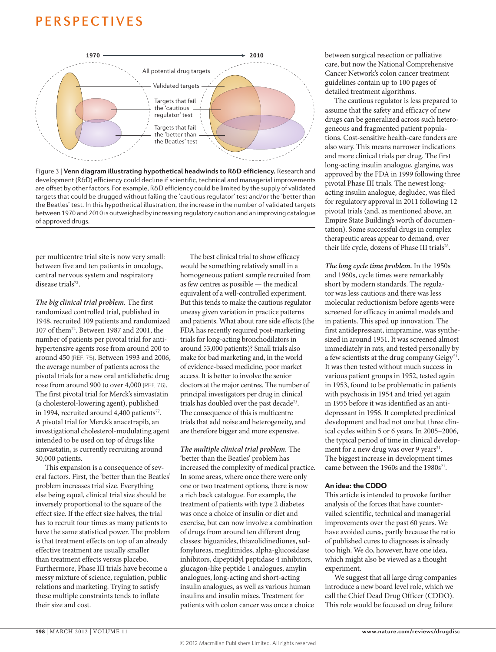

are offset by other factors. For example, R&D efficiency could be limited by the supply of validated Figure 3 | **Venn diagram illustrating hypothetical headwinds to R&D efficiency.** Research and development (R&D) efficiency could decline if scientific, technical and managerial improvements targets that could be drugged without failing the 'cautious regulator' test and/or the 'better than the Beatles' test. In this hypothetical illustration, the increase in the number of validated targets between 1970 and 2010 is outweighed by increasing regulatory caution and an improving catalogue of approved drugs.

per multicentre trial site is now very small: between five and ten patients in oncology, central nervous system and respiratory disease trials<sup>73</sup>.

*The big clinical trial problem.* The first randomized controlled trial, published in 1948, recruited 109 patients and randomized 107 of them74. Between 1987 and 2001, the number of patients per pivotal trial for antihypertensive agents rose from around 200 to around 450 (REF. 75). Between 1993 and 2006, the average number of patients across the pivotal trials for a new oral antidiabetic drug rose from around 900 to over 4,000 (REF. 76). The first pivotal trial for Merck's simvastatin (a cholesterol-lowering agent), published in 1994, recruited around 4,400 patients<sup>77</sup>. A pivotal trial for Merck's anacetrapib, an investigational cholesterol-modulating agent intended to be used on top of drugs like simvastatin, is currently recruiting around 30,000 patients.

This expansion is a consequence of several factors. First, the 'better than the Beatles' problem increases trial size. Everything else being equal, clinical trial size should be inversely proportional to the square of the effect size. If the effect size halves, the trial has to recruit four times as many patients to have the same statistical power. The problem is that treatment effects on top of an already effective treatment are usually smaller than treatment effects versus placebo. Furthermore, Phase III trials have become a messy mixture of science, regulation, public relations and marketing. Trying to satisfy these multiple constraints tends to inflate their size and cost.

The best clinical trial to show efficacy would be something relatively small in a homogeneous patient sample recruited from as few centres as possible — the medical equivalent of a well-controlled experiment. But this tends to make the cautious regulator uneasy given variation in practice patterns and patients. What about rare side effects (the FDA has recently required post-marketing trials for long-acting bronchodilators in around 53,000 patients)? Small trials also make for bad marketing and, in the world of evidence-based medicine, poor market access. It is better to involve the senior doctors at the major centres. The number of principal investigators per drug in clinical trials has doubled over the past decade<sup>73</sup>. The consequence of this is multicentre trials that add noise and heterogeneity, and are therefore bigger and more expensive.

*The multiple clinical trial problem.* The 'better than the Beatles' problem has increased the complexity of medical practice. In some areas, where once there were only one or two treatment options, there is now a rich back catalogue. For example, the treatment of patients with type 2 diabetes was once a choice of insulin or diet and exercise, but can now involve a combination of drugs from around ten different drug classes: biguanides, thiazolidinediones, sulfonylureas, meglitinides, alpha-glucosidase inhibitors, dipeptidyl peptidase 4 inhibitors, glucagon-like peptide 1 analogues, amylin analogues, long-acting and short-acting insulin analogues, as well as various human insulins and insulin mixes. Treatment for patients with colon cancer was once a choice

between surgical resection or palliative care, but now the National Comprehensive Cancer Network's colon cancer treatment guidelines contain up to 100 pages of detailed treatment algorithms.

The cautious regulator is less prepared to assume that the safety and efficacy of new drugs can be generalized across such heterogeneous and fragmented patient populations. Cost-sensitive health-care funders are also wary. This means narrower indications and more clinical trials per drug. The first long-acting insulin analogue, glargine, was approved by the FDA in 1999 following three pivotal Phase III trials. The newest longacting insulin analogue, degludec, was filed for regulatory approval in 2011 following 12 pivotal trials (and, as mentioned above, an Empire State Building's worth of documentation). Some successful drugs in complex therapeutic areas appear to demand, over their life cycle, dozens of Phase III trials<sup>78</sup>.

*The long cycle time problem.* In the 1950s and 1960s, cycle times were remarkably short by modern standards. The regulator was less cautious and there was less molecular reductionism before agents were screened for efficacy in animal models and in patients. This sped up innovation. The first antidepressant, imipramine, was synthesized in around 1951. It was screened almost immediately in rats, and tested personally by a few scientists at the drug company Geigy<sup>51</sup>. It was then tested without much success in various patient groups in 1952, tested again in 1953, found to be problematic in patients with psychosis in 1954 and tried yet again in 1955 before it was identified as an antidepressant in 1956. It completed preclinical development and had not one but three clinical cycles within 5 or 6 years. In 2005–2006, the typical period of time in clinical development for a new drug was over 9 years<sup>21</sup>. The biggest increase in development times came between the 1960s and the  $1980s^{21}$ .

#### An idea: the CDDO

This article is intended to provoke further analysis of the forces that have countervailed scientific, technical and managerial improvements over the past 60 years. We have avoided cures, partly because the ratio of published cures to diagnoses is already too high. We do, however, have one idea, which might also be viewed as a thought experiment.

We suggest that all large drug companies introduce a new board level role, which we call the Chief Dead Drug Officer (CDDO). This role would be focused on drug failure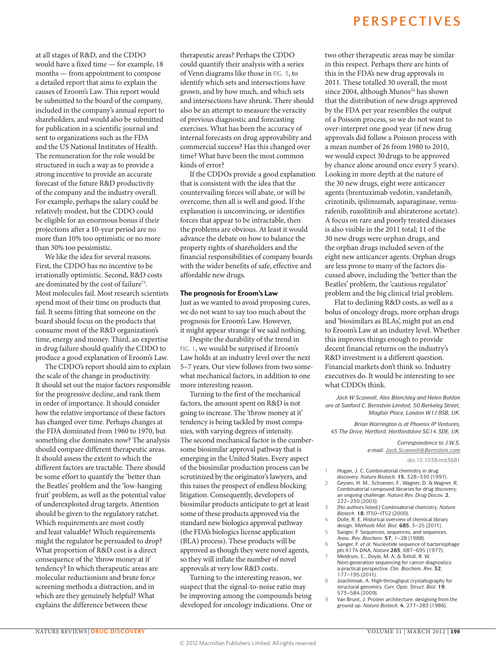at all stages of R&D, and the CDDO would have a fixed time — for example, 18 months — from appointment to compose a detailed report that aims to explain the causes of Eroom's Law. This report would be submitted to the board of the company, included in the company's annual report to shareholders, and would also be submitted for publication in a scientific journal and sent to organizations such as the FDA and the US National Institutes of Health. The remuneration for the role would be structured in such a way as to provide a strong incentive to provide an accurate forecast of the future R&D productivity of the company and the industry overall. For example, perhaps the salary could be relatively modest, but the CDDO could be eligible for an enormous bonus if their projections after a 10-year period are no more than 10% too optimistic or no more than 30% too pessimistic.

We like the idea for several reasons. First, the CDDO has no incentive to be irrationally optimistic. Second, R&D costs are dominated by the cost of failure<sup>73</sup>. Most molecules fail. Most research scientists spend most of their time on products that fail. It seems fitting that someone on the board should focus on the products that consume most of the R&D organization's time, energy and money. Third, an expertise in drug failure should qualify the CDDO to produce a good explanation of Eroom's Law.

The CDDO's report should aim to explain the scale of the change in productivity. It should set out the major factors responsible for the progressive decline, and rank them in order of importance. It should consider how the relative importance of these factors has changed over time. Perhaps changes at the FDA dominated from 1960 to 1970, but something else dominates now? The analysis should compare different therapeutic areas. It should assess the extent to which the different factors are tractable. There should be some effort to quantify the 'better than the Beatles' problem and the 'low-hanging fruit' problem, as well as the potential value of underexploited drug targets. Attention should be given to the regulatory ratchet. Which requirements are most costly and least valuable? Which requirements might the regulator be persuaded to drop? What proportion of R&D cost is a direct consequence of the 'throw money at it' tendency? In which therapeutic areas are molecular reductionism and brute force screening methods a distraction, and in which are they genuinely helpful? What explains the difference between these

therapeutic areas? Perhaps the CDDO could quantify their analysis with a series of Venn diagrams like those in FIG. 3, to identify which sets and intersections have grown, and by how much, and which sets and intersections have shrunk. There should also be an attempt to measure the veracity of previous diagnostic and forecasting exercises. What has been the accuracy of internal forecasts on drug approvability and commercial success? Has this changed over time? What have been the most common kinds of error?

If the CDDOs provide a good explanation that is consistent with the idea that the countervailing forces will abate, or will be overcome, then all is well and good. If the explanation is unconvincing, or identifies forces that appear to be intractable, then the problems are obvious. At least it would advance the debate on how to balance the property rights of shareholders and the financial responsibilities of company boards with the wider benefits of safe, effective and affordable new drugs.

#### The prognosis for Eroom's Law

Just as we wanted to avoid proposing cures, we do not want to say too much about the prognosis for Eroom's Law. However, it might appear strange if we said nothing.

Despite the durability of the trend in FIG. 1, we would be surprised if Eroom's Law holds at an industry level over the next 5–7 years. Our view follows from two somewhat mechanical factors, in addition to one more interesting reason.

Turning to the first of the mechanical factors, the amount spent on R&D is not going to increase. The 'throw money at it' tendency is being tackled by most companies, with varying degrees of intensity. The second mechanical factor is the cumbersome biosimilar approval pathway that is emerging in the United States. Every aspect of the biosimilar production process can be scrutinized by the originator's lawyers, and this raises the prospect of endless blocking litigation. Consequently, developers of biosimilar products anticipate to get at least some of these products approved via the standard new biologics approval pathway (the FDA's biologics license application (BLA) process). These products will be approved as though they were novel agents, so they will inflate the number of novel approvals at very low R&D costs.

Turning to the interesting reason, we suspect that the signal-to-noise ratio may be improving among the compounds being developed for oncology indications. One or

two other therapeutic areas may be similar in this respect. Perhaps there are hints of this in the FDA's new drug approvals in 2011. These totalled 30 overall, the most since 2004, although Munos<sup>24</sup> has shown that the distribution of new drugs approved by the FDA per year resembles the output of a Poisson process, so we do not want to over-interpret one good year (if new drug approvals did follow a Poisson process with a mean number of 26 from 1980 to 2010, we would expect 30drugs to be approved by chance alone around once every 5 years). Looking in more depth at the nature of the 30 new drugs, eight were anticancer agents (brentuximab vedotin, vandetanib, crizotinib, ipilimumab, asparaginase, vemurafenib, ruxolitinib and abiraterone acetate). A focus on rare and poorly treated diseases is also visible in the 2011 total; 11 of the 30 new drugs were orphan drugs, and the orphan drugs included seven of the eight new anticancer agents. Orphan drugs are less prone to many of the factors discussed above, including the 'better than the Beatles' problem, the 'cautious regulator' problem and the big clinical trial problem.

Flat to declining R&D costs, as well as a bolus of oncology drugs, more orphan drugs and 'biosimilars as BLAs', might put an end to Eroom's Law at an industry level. Whether this improves things enough to provide decent financial returns on the industry's R&D investment is a different question. Financial markets don't think so. Industry executives do. It would be interesting to see what CDDOs think.

*Jack W Scannell, Alex Blanckley and Helen Boldon are at Sanford C. Bernstein Limited, 50 Berkeley Street, Mayfair Place, London W1J 8SB, UK.*

*Brian Warrington is at Phoenix IP Ventures, 45 The Drive, Hertford, Hertfordshire SG14 3DE, UK.*

> *Correspondence to J.W.S. e-mail: [Jack.Scannell@Bernstein.com](mailto:Jack.Scannell@Bernstein.Com)* doi:10.1038/nrd3681

- 1. Hogan, J. C. Combinatorial chemistry in drug discovery. *Nature Biotech.* **15**, 328–330 (1997).
- 2. Geysen, H. M., Schoenen, F., Wagne[r,](http://www.nature.com/nrd/journal/v2/n3/full/nrd1035.html#a1) D. & Wagner, R. Combinatorial compound libraries for drug discovery: an ongoing challenge. *Nature Rev. Drug Discov.* **2**, 222–230 (2003).
- 3. [No authors listed.] Combinatorial chemistry. *Nature Biotech.* **18**, IT50–IT52 (2000).
- 4. Dolle, R. E. Historical overview of chemical library design. *Methods Mol. Biol.* **685**, 3–25 (2011).
- 5. Sanger, F. Sequences, sequences, and sequences.
- *Annu. Rev. Biochem.* **57**, 1–28 (1988). 6. Sanger, F. *et al.* Nucleotide sequence of bacteriophage
- phi X174 DNA. *Nature* **265**, 687–695 (1977).
- 7. Meldrum, C., Doyle, M. A. & Tothill, R. W. Next-generation sequencing for cancer diagnostics: a practical perspective. *Clin. Biochem. Rev.* **32**, 177–195 (2011).
- 8. Joachimiak, A. High-throughput crystallography for structural genomics. *Curr. Opin. Struct. Biol.* **19**, 573–584 (2009).
- 9. Van Brunt, J. Protein architecture: designing from the ground up. *Nature Biotech.* **4**, 277–283 (1986).